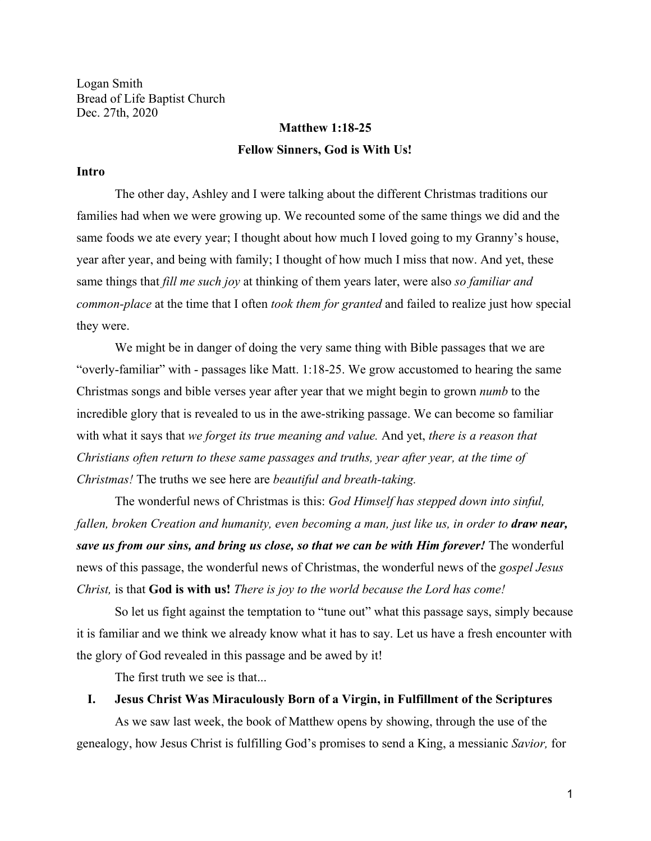Logan Smith Bread of Life Baptist Church Dec. 27th, 2020

# **Matthew 1:18-25 Fellow Sinners, God is With Us!**

#### **Intro**

The other day, Ashley and I were talking about the different Christmas traditions our families had when we were growing up. We recounted some of the same things we did and the same foods we ate every year; I thought about how much I loved going to my Granny's house, year after year, and being with family; I thought of how much I miss that now. And yet, these same things that *fill me such joy* at thinking of them years later, were also *so familiar and common-place* at the time that I often *took them for granted* and failed to realize just how special they were.

We might be in danger of doing the very same thing with Bible passages that we are "overly-familiar" with - passages like Matt. 1:18-25. We grow accustomed to hearing the same Christmas songs and bible verses year after year that we might begin to grown *numb* to the incredible glory that is revealed to us in the awe-striking passage. We can become so familiar with what it says that *we forget its true meaning and value.* And yet, *there is a reason that Christians often return to these same passages and truths, year after year, at the time of Christmas!* The truths we see here are *beautiful and breath-taking.*

The wonderful news of Christmas is this: *God Himself has stepped down into sinful, fallen, broken Creation and humanity, even becoming a man, just like us, in order to draw near, save us from our sins, and bring us close, so that we can be with Him forever!* The wonderful news of this passage, the wonderful news of Christmas, the wonderful news of the *gospel Jesus Christ,* is that **God is with us!** *There is joy to the world because the Lord has come!*

So let us fight against the temptation to "tune out" what this passage says, simply because it is familiar and we think we already know what it has to say. Let us have a fresh encounter with the glory of God revealed in this passage and be awed by it!

The first truth we see is that...

### **I. Jesus Christ Was Miraculously Born of a Virgin, in Fulfillment of the Scriptures**

As we saw last week, the book of Matthew opens by showing, through the use of the genealogy, how Jesus Christ is fulfilling God's promises to send a King, a messianic *Savior,* for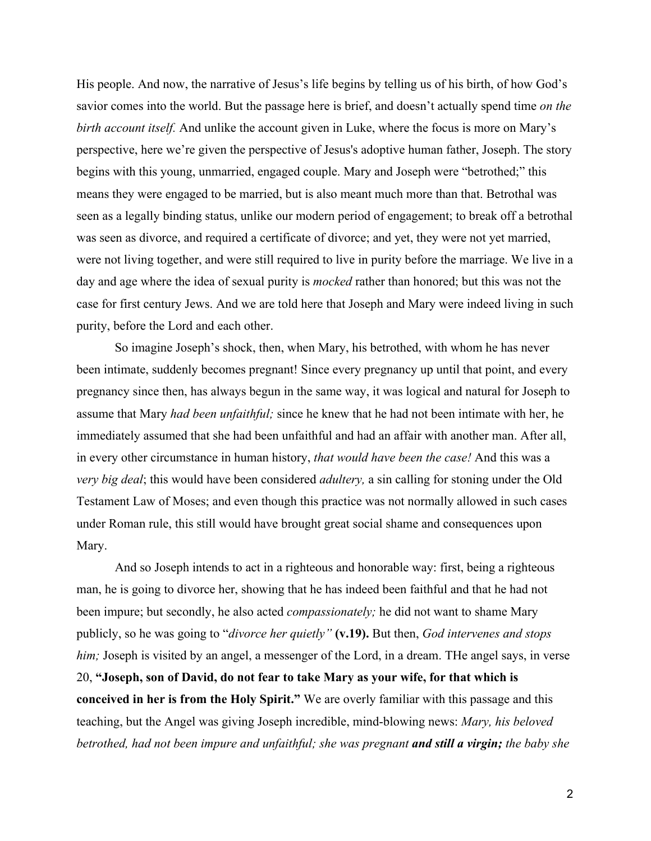His people. And now, the narrative of Jesus's life begins by telling us of his birth, of how God's savior comes into the world. But the passage here is brief, and doesn't actually spend time *on the birth account itself.* And unlike the account given in Luke, where the focus is more on Mary's perspective, here we're given the perspective of Jesus's adoptive human father, Joseph. The story begins with this young, unmarried, engaged couple. Mary and Joseph were "betrothed;" this means they were engaged to be married, but is also meant much more than that. Betrothal was seen as a legally binding status, unlike our modern period of engagement; to break off a betrothal was seen as divorce, and required a certificate of divorce; and yet, they were not yet married, were not living together, and were still required to live in purity before the marriage. We live in a day and age where the idea of sexual purity is *mocked* rather than honored; but this was not the case for first century Jews. And we are told here that Joseph and Mary were indeed living in such purity, before the Lord and each other.

So imagine Joseph's shock, then, when Mary, his betrothed, with whom he has never been intimate, suddenly becomes pregnant! Since every pregnancy up until that point, and every pregnancy since then, has always begun in the same way, it was logical and natural for Joseph to assume that Mary *had been unfaithful;* since he knew that he had not been intimate with her, he immediately assumed that she had been unfaithful and had an affair with another man. After all, in every other circumstance in human history, *that would have been the case!* And this was a *very big deal*; this would have been considered *adultery,* a sin calling for stoning under the Old Testament Law of Moses; and even though this practice was not normally allowed in such cases under Roman rule, this still would have brought great social shame and consequences upon Mary.

And so Joseph intends to act in a righteous and honorable way: first, being a righteous man, he is going to divorce her, showing that he has indeed been faithful and that he had not been impure; but secondly, he also acted *compassionately;* he did not want to shame Mary publicly, so he was going to "*divorce her quietly"* **(v.19).** But then, *God intervenes and stops him;* Joseph is visited by an angel, a messenger of the Lord, in a dream. The angel says, in verse 20, **"Joseph, son of David, do not fear to take Mary as your wife, for that which is conceived in her is from the Holy Spirit."** We are overly familiar with this passage and this teaching, but the Angel was giving Joseph incredible, mind-blowing news: *Mary, his beloved betrothed, had not been impure and unfaithful; she was pregnant and still a virgin; the baby she*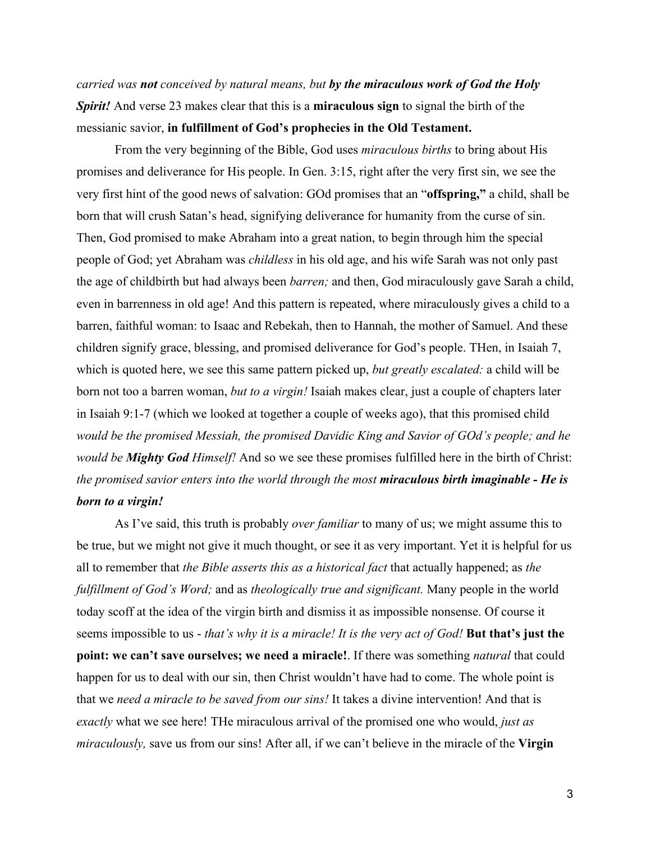*carried was not conceived by natural means, but by the miraculous work of God the Holy Spirit!* And verse 23 makes clear that this is a **miraculous sign** to signal the birth of the messianic savior, **in fulfillment of God's prophecies in the Old Testament.**

From the very beginning of the Bible, God uses *miraculous births* to bring about His promises and deliverance for His people. In Gen. 3:15, right after the very first sin, we see the very first hint of the good news of salvation: GOd promises that an "**offspring,"** a child, shall be born that will crush Satan's head, signifying deliverance for humanity from the curse of sin. Then, God promised to make Abraham into a great nation, to begin through him the special people of God; yet Abraham was *childless* in his old age, and his wife Sarah was not only past the age of childbirth but had always been *barren;* and then, God miraculously gave Sarah a child, even in barrenness in old age! And this pattern is repeated, where miraculously gives a child to a barren, faithful woman: to Isaac and Rebekah, then to Hannah, the mother of Samuel. And these children signify grace, blessing, and promised deliverance for God's people. THen, in Isaiah 7, which is quoted here, we see this same pattern picked up, *but greatly escalated:* a child will be born not too a barren woman, *but to a virgin!* Isaiah makes clear, just a couple of chapters later in Isaiah 9:1-7 (which we looked at together a couple of weeks ago), that this promised child *would be the promised Messiah, the promised Davidic King and Savior of GOd's people; and he would be Mighty God Himself!* And so we see these promises fulfilled here in the birth of Christ: *the promised savior enters into the world through the most miraculous birth imaginable - He is born to a virgin!*

As I've said, this truth is probably *over familiar* to many of us; we might assume this to be true, but we might not give it much thought, or see it as very important. Yet it is helpful for us all to remember that *the Bible asserts this as a historical fact* that actually happened; as *the fulfillment of God's Word;* and as *theologically true and significant.* Many people in the world today scoff at the idea of the virgin birth and dismiss it as impossible nonsense. Of course it seems impossible to us - *that's why it is a miracle! It is the very act of God!* **But that's just the point: we can't save ourselves; we need a miracle!**. If there was something *natural* that could happen for us to deal with our sin, then Christ wouldn't have had to come. The whole point is that we *need a miracle to be saved from our sins!* It takes a divine intervention! And that is *exactly* what we see here! THe miraculous arrival of the promised one who would, *just as miraculously,* save us from our sins! After all, if we can't believe in the miracle of the **Virgin**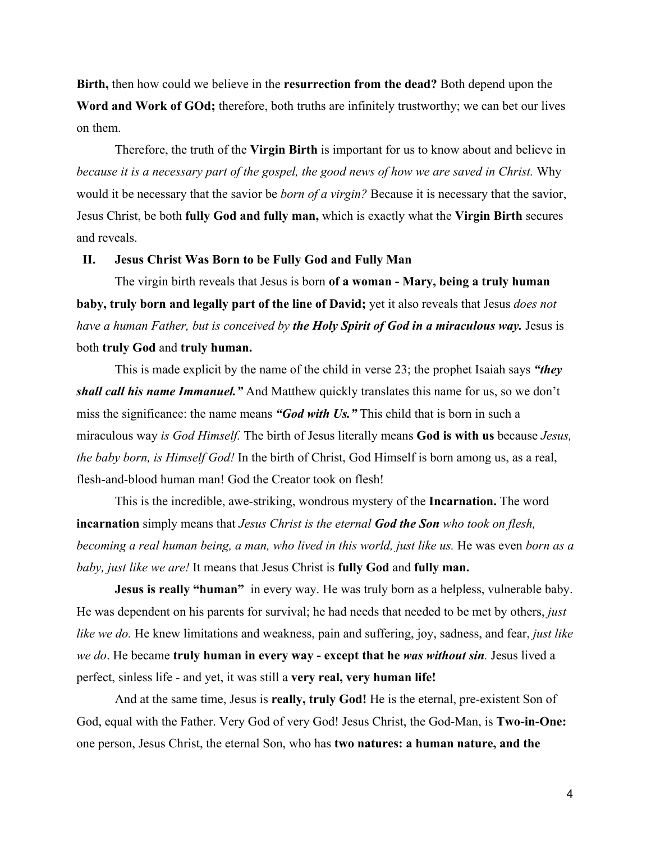**Birth,** then how could we believe in the **resurrection from the dead?** Both depend upon the **Word and Work of GOd;** therefore, both truths are infinitely trustworthy; we can bet our lives on them.

Therefore, the truth of the **Virgin Birth** is important for us to know about and believe in *because it is a necessary part of the gospel, the good news of how we are saved in Christ.* Why would it be necessary that the savior be *born of a virgin?* Because it is necessary that the savior, Jesus Christ, be both **fully God and fully man,** which is exactly what the **Virgin Birth** secures and reveals.

### **II. Jesus Christ Was Born to be Fully God and Fully Man**

The virgin birth reveals that Jesus is born **of a woman - Mary, being a truly human baby, truly born and legally part of the line of David;** yet it also reveals that Jesus *does not have a human Father, but is conceived by the Holy Spirit of God in a miraculous way.* Jesus is both **truly God** and **truly human.**

This is made explicit by the name of the child in verse 23; the prophet Isaiah says *"they shall call his name Immanuel."* And Matthew quickly translates this name for us, so we don't miss the significance: the name means *"God with Us."* This child that is born in such a miraculous way *is God Himself.* The birth of Jesus literally means **God is with us** because *Jesus, the baby born, is Himself God!* In the birth of Christ, God Himself is born among us, as a real, flesh-and-blood human man! God the Creator took on flesh!

This is the incredible, awe-striking, wondrous mystery of the **Incarnation.** The word **incarnation** simply means that *Jesus Christ is the eternal God the Son who took on flesh, becoming a real human being, a man, who lived in this world, just like us.* He was even *born as a baby, just like we are!* It means that Jesus Christ is **fully God** and **fully man.**

**Jesus is really "human"** in every way. He was truly born as a helpless, vulnerable baby. He was dependent on his parents for survival; he had needs that needed to be met by others, *just like we do.* He knew limitations and weakness, pain and suffering, joy, sadness, and fear, *just like we do*. He became **truly human in every way - except that he** *was without sin.* Jesus lived a perfect, sinless life - and yet, it was still a **very real, very human life!**

And at the same time, Jesus is **really, truly God!** He is the eternal, pre-existent Son of God, equal with the Father. Very God of very God! Jesus Christ, the God-Man, is **Two-in-One:** one person, Jesus Christ, the eternal Son, who has **two natures: a human nature, and the**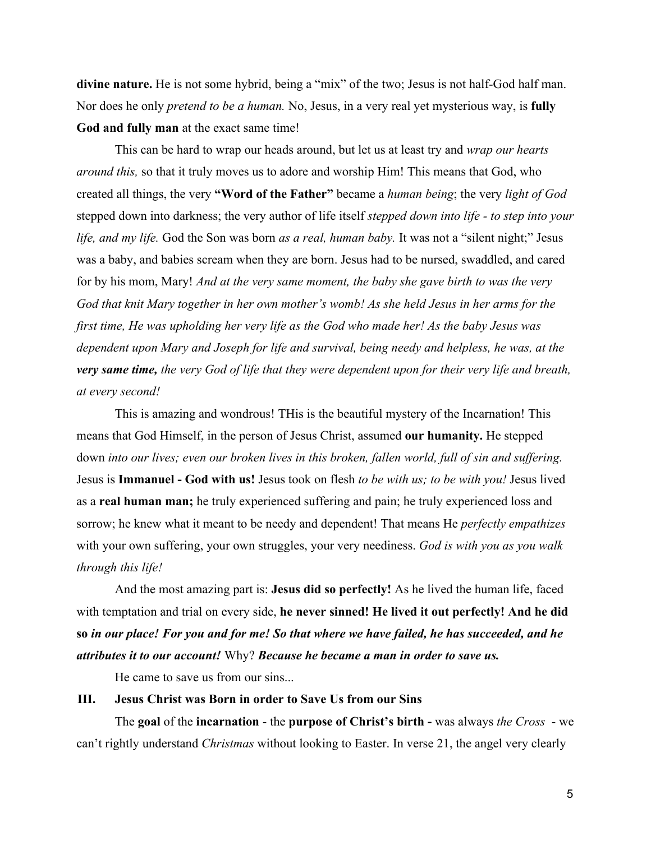**divine nature.** He is not some hybrid, being a "mix" of the two; Jesus is not half-God half man. Nor does he only *pretend to be a human.* No, Jesus, in a very real yet mysterious way, is **fully God and fully man** at the exact same time!

This can be hard to wrap our heads around, but let us at least try and *wrap our hearts around this,* so that it truly moves us to adore and worship Him! This means that God, who created all things, the very **"Word of the Father"** became a *human being*; the very *light of God* stepped down into darkness; the very author of life itself *stepped down into life - to step into your life, and my life.* God the Son was born *as a real, human baby.* It was not a "silent night;" Jesus was a baby, and babies scream when they are born. Jesus had to be nursed, swaddled, and cared for by his mom, Mary! *And at the very same moment, the baby she gave birth to was the very God that knit Mary together in her own mother's womb! As she held Jesus in her arms for the first time, He was upholding her very life as the God who made her! As the baby Jesus was dependent upon Mary and Joseph for life and survival, being needy and helpless, he was, at the very same time, the very God of life that they were dependent upon for their very life and breath, at every second!*

This is amazing and wondrous! THis is the beautiful mystery of the Incarnation! This means that God Himself, in the person of Jesus Christ, assumed **our humanity.** He stepped down *into our lives; even our broken lives in this broken, fallen world, full of sin and suffering.* Jesus is **Immanuel - God with us!** Jesus took on flesh *to be with us; to be with you!* Jesus lived as a **real human man;** he truly experienced suffering and pain; he truly experienced loss and sorrow; he knew what it meant to be needy and dependent! That means He *perfectly empathizes* with your own suffering, your own struggles, your very neediness. *God is with you as you walk through this life!*

And the most amazing part is: **Jesus did so perfectly!** As he lived the human life, faced with temptation and trial on every side, **he never sinned! He lived it out perfectly! And he did so** *in our place! For you and for me! So that where we have failed, he has succeeded, and he attributes it to our account!* Why? *Because he became a man in order to save us.*

He came to save us from our sins...

### **III. Jesus Christ was Born in order to Save Us from our Sins**

The **goal** of the **incarnation** - the **purpose of Christ's birth -** was always *the Cross* - we can't rightly understand *Christmas* without looking to Easter. In verse 21, the angel very clearly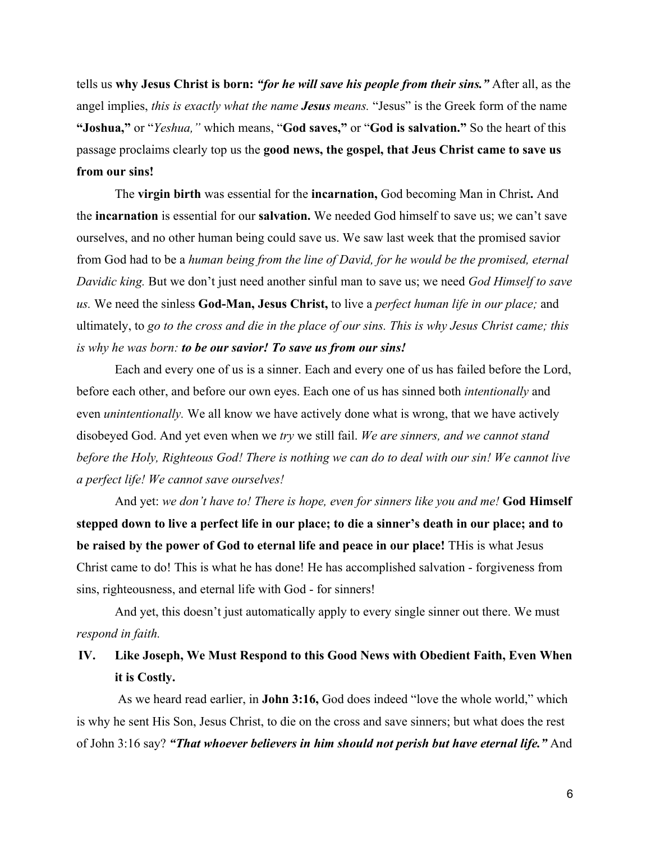tells us **why Jesus Christ is born:** *"for he will save his people from their sins."* After all, as the angel implies, *this is exactly what the name Jesus means.* "Jesus" is the Greek form of the name **"Joshua,"** or "*Yeshua,"* which means, "**God saves,"** or "**God is salvation."** So the heart of this passage proclaims clearly top us the **good news, the gospel, that Jeus Christ came to save us from our sins!**

The **virgin birth** was essential for the **incarnation,** God becoming Man in Christ**.** And the **incarnation** is essential for our **salvation.** We needed God himself to save us; we can't save ourselves, and no other human being could save us. We saw last week that the promised savior from God had to be a *human being from the line of David, for he would be the promised, eternal Davidic king.* But we don't just need another sinful man to save us; we need *God Himself to save us.* We need the sinless **God-Man, Jesus Christ,** to live a *perfect human life in our place;* and ultimately, to *go to the cross and die in the place of our sins. This is why Jesus Christ came; this is why he was born: to be our savior! To save us from our sins!*

Each and every one of us is a sinner. Each and every one of us has failed before the Lord, before each other, and before our own eyes. Each one of us has sinned both *intentionally* and even *unintentionally.* We all know we have actively done what is wrong, that we have actively disobeyed God. And yet even when we *try* we still fail. *We are sinners, and we cannot stand before the Holy, Righteous God! There is nothing we can do to deal with our sin! We cannot live a perfect life! We cannot save ourselves!*

And yet: *we don't have to! There is hope, even for sinners like you and me!* **God Himself stepped down to live a perfect life in our place; to die a sinner's death in our place; and to be raised by the power of God to eternal life and peace in our place!** THis is what Jesus Christ came to do! This is what he has done! He has accomplished salvation - forgiveness from sins, righteousness, and eternal life with God - for sinners!

And yet, this doesn't just automatically apply to every single sinner out there. We must *respond in faith.*

## **IV. Like Joseph, We Must Respond to this Good News with Obedient Faith, Even When it is Costly.**

 As we heard read earlier, in **John 3:16,** God does indeed "love the whole world," which is why he sent His Son, Jesus Christ, to die on the cross and save sinners; but what does the rest of John 3:16 say? *"That whoever believers in him should not perish but have eternal life."* And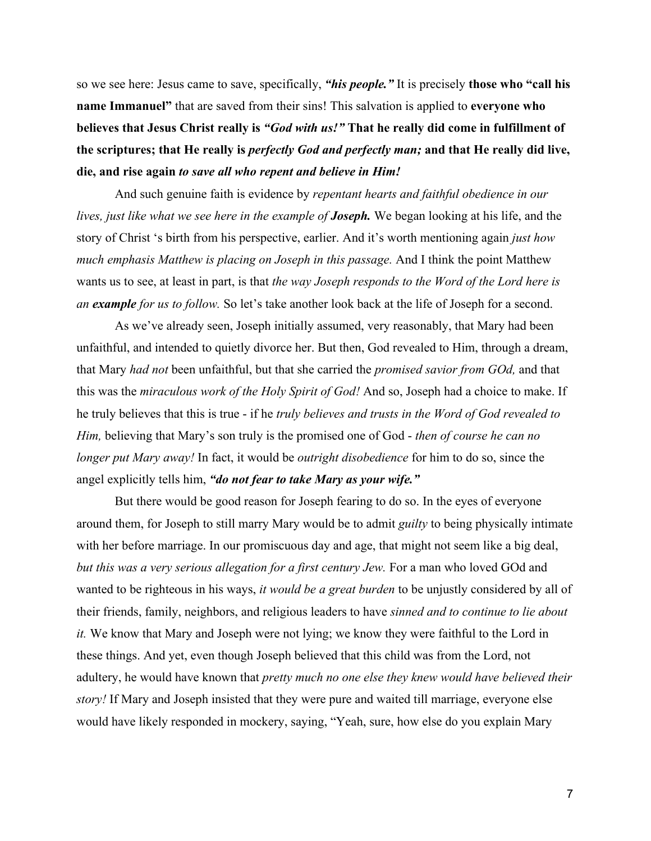so we see here: Jesus came to save, specifically, *"his people."* It is precisely **those who "call his name Immanuel"** that are saved from their sins! This salvation is applied to **everyone who believes that Jesus Christ really is** *"God with us!"* **That he really did come in fulfillment of the scriptures; that He really is** *perfectly God and perfectly man;* **and that He really did live, die, and rise again** *to save all who repent and believe in Him!*

And such genuine faith is evidence by *repentant hearts and faithful obedience in our lives, just like what we see here in the example of Joseph.* We began looking at his life, and the story of Christ 's birth from his perspective, earlier. And it's worth mentioning again *just how much emphasis Matthew is placing on Joseph in this passage.* And I think the point Matthew wants us to see, at least in part, is that *the way Joseph responds to the Word of the Lord here is an example for us to follow.* So let's take another look back at the life of Joseph for a second.

As we've already seen, Joseph initially assumed, very reasonably, that Mary had been unfaithful, and intended to quietly divorce her. But then, God revealed to Him, through a dream, that Mary *had not* been unfaithful, but that she carried the *promised savior from GOd,* and that this was the *miraculous work of the Holy Spirit of God!* And so, Joseph had a choice to make. If he truly believes that this is true - if he *truly believes and trusts in the Word of God revealed to Him,* believing that Mary's son truly is the promised one of God - *then of course he can no longer put Mary away!* In fact, it would be *outright disobedience* for him to do so, since the angel explicitly tells him, *"do not fear to take Mary as your wife."*

But there would be good reason for Joseph fearing to do so. In the eyes of everyone around them, for Joseph to still marry Mary would be to admit *guilty* to being physically intimate with her before marriage. In our promiscuous day and age, that might not seem like a big deal, *but this was a very serious allegation for a first century Jew.* For a man who loved GOd and wanted to be righteous in his ways, *it would be a great burden* to be unjustly considered by all of their friends, family, neighbors, and religious leaders to have *sinned and to continue to lie about it.* We know that Mary and Joseph were not lying; we know they were faithful to the Lord in these things. And yet, even though Joseph believed that this child was from the Lord, not adultery, he would have known that *pretty much no one else they knew would have believed their story!* If Mary and Joseph insisted that they were pure and waited till marriage, everyone else would have likely responded in mockery, saying, "Yeah, sure, how else do you explain Mary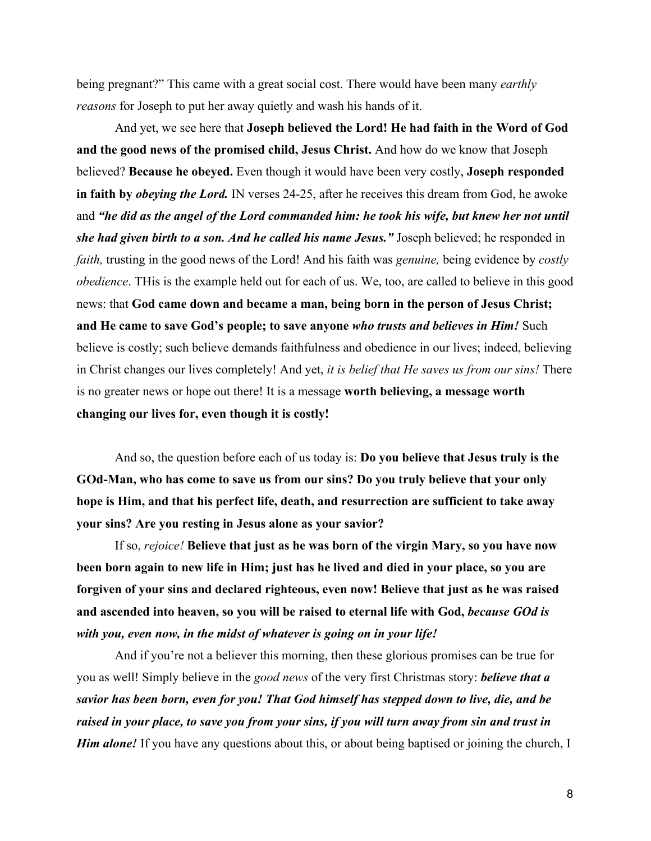being pregnant?" This came with a great social cost. There would have been many *earthly reasons* for Joseph to put her away quietly and wash his hands of it.

And yet, we see here that **Joseph believed the Lord! He had faith in the Word of God and the good news of the promised child, Jesus Christ.** And how do we know that Joseph believed? **Because he obeyed.** Even though it would have been very costly, **Joseph responded in faith by** *obeying the Lord.* IN verses 24-25, after he receives this dream from God, he awoke and *"he did as the angel of the Lord commanded him: he took his wife, but knew her not until she had given birth to a son. And he called his name Jesus."* Joseph believed; he responded in *faith,* trusting in the good news of the Lord! And his faith was *genuine,* being evidence by *costly obedience*. THis is the example held out for each of us. We, too, are called to believe in this good news: that **God came down and became a man, being born in the person of Jesus Christ; and He came to save God's people; to save anyone** *who trusts and believes in Him!* Such believe is costly; such believe demands faithfulness and obedience in our lives; indeed, believing in Christ changes our lives completely! And yet, *it is belief that He saves us from our sins!* There is no greater news or hope out there! It is a message **worth believing, a message worth changing our lives for, even though it is costly!**

And so, the question before each of us today is: **Do you believe that Jesus truly is the GOd-Man, who has come to save us from our sins? Do you truly believe that your only hope is Him, and that his perfect life, death, and resurrection are sufficient to take away your sins? Are you resting in Jesus alone as your savior?**

If so, *rejoice!* **Believe that just as he was born of the virgin Mary, so you have now been born again to new life in Him; just has he lived and died in your place, so you are forgiven of your sins and declared righteous, even now! Believe that just as he was raised and ascended into heaven, so you will be raised to eternal life with God,** *because GOd is with you, even now, in the midst of whatever is going on in your life!*

And if you're not a believer this morning, then these glorious promises can be true for you as well! Simply believe in the *good news* of the very first Christmas story: *believe that a savior has been born, even for you! That God himself has stepped down to live, die, and be raised in your place, to save you from your sins, if you will turn away from sin and trust in Him alone!* If you have any questions about this, or about being baptised or joining the church, I